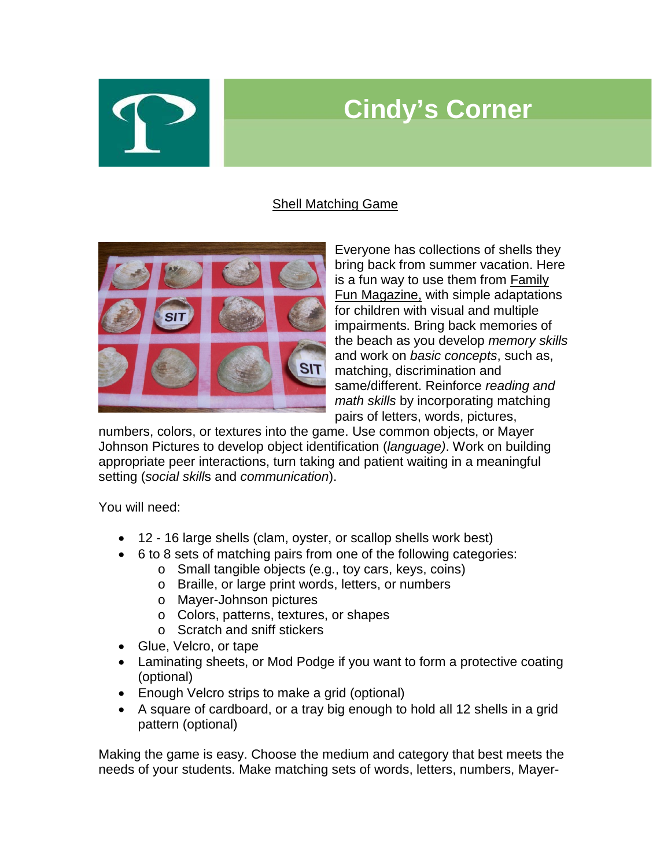## **Cindy's Corner**

## Shell Matching Game



Everyone has collections of shells they bring back from summer vacation. Here is a fun way to use them from Family Fun Magazine, with simple adaptations for children with visual and multiple impairments. Bring back memories of the beach as you develop *memory skills* and work on *basic concepts*, such as, matching, discrimination and same/different. Reinforce *reading and math skills* by incorporating matching pairs of letters, words, pictures,

numbers, colors, or textures into the game. Use common objects, or Mayer Johnson Pictures to develop object identification (*language)*. Work on building appropriate peer interactions, turn taking and patient waiting in a meaningful setting (*social skill*s and *communication*).

You will need:

- 12 16 large shells (clam, oyster, or scallop shells work best)
- 6 to 8 sets of matching pairs from one of the following categories:
	- o Small tangible objects (e.g., toy cars, keys, coins)
	- o Braille, or large print words, letters, or numbers
	- o Mayer-Johnson pictures
	- o Colors, patterns, textures, or shapes
	- o Scratch and sniff stickers
- Glue, Velcro, or tape
- Laminating sheets, or Mod Podge if you want to form a protective coating (optional)
- Enough Velcro strips to make a grid (optional)
- A square of cardboard, or a tray big enough to hold all 12 shells in a grid pattern (optional)

Making the game is easy. Choose the medium and category that best meets the needs of your students. Make matching sets of words, letters, numbers, Mayer-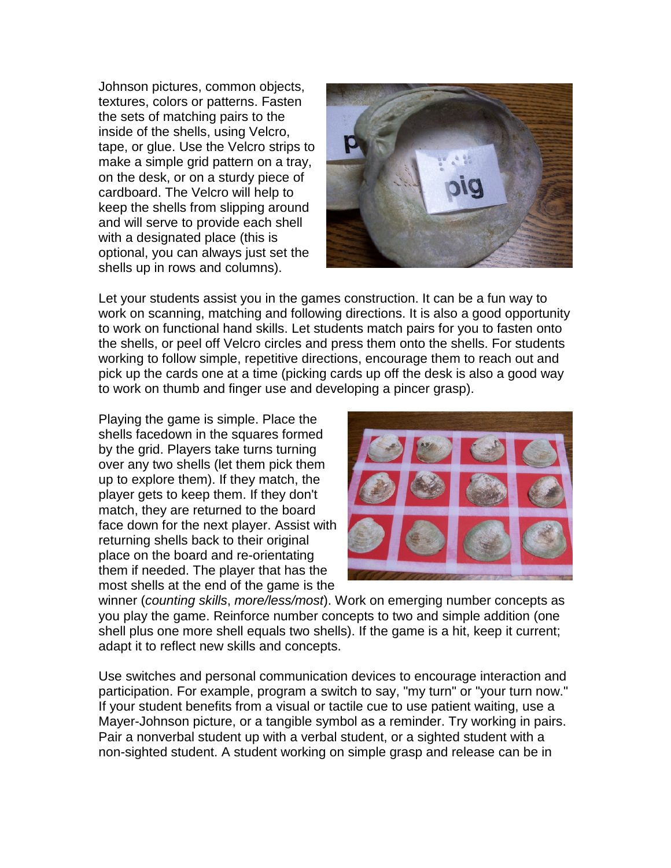Johnson pictures, common objects, textures, colors or patterns. Fasten the sets of matching pairs to the inside of the shells, using Velcro, tape, or glue. Use the Velcro strips to make a simple grid pattern on a tray, on the desk, or on a sturdy piece of cardboard. The Velcro will help to keep the shells from slipping around and will serve to provide each shell with a designated place (this is optional, you can always just set the shells up in rows and columns).



Let your students assist you in the games construction. It can be a fun way to work on scanning, matching and following directions. It is also a good opportunity to work on functional hand skills. Let students match pairs for you to fasten onto the shells, or peel off Velcro circles and press them onto the shells. For students working to follow simple, repetitive directions, encourage them to reach out and pick up the cards one at a time (picking cards up off the desk is also a good way to work on thumb and finger use and developing a pincer grasp).

Playing the game is simple. Place the shells facedown in the squares formed by the grid. Players take turns turning over any two shells (let them pick them up to explore them). If they match, the player gets to keep them. If they don't match, they are returned to the board face down for the next player. Assist with returning shells back to their original place on the board and re-orientating them if needed. The player that has the most shells at the end of the game is the



winner (*counting skills*, *more/less/most*). Work on emerging number concepts as you play the game. Reinforce number concepts to two and simple addition (one shell plus one more shell equals two shells). If the game is a hit, keep it current; adapt it to reflect new skills and concepts.

Use switches and personal communication devices to encourage interaction and participation. For example, program a switch to say, "my turn" or "your turn now." If your student benefits from a visual or tactile cue to use patient waiting, use a Mayer-Johnson picture, or a tangible symbol as a reminder. Try working in pairs. Pair a nonverbal student up with a verbal student, or a sighted student with a non-sighted student. A student working on simple grasp and release can be in